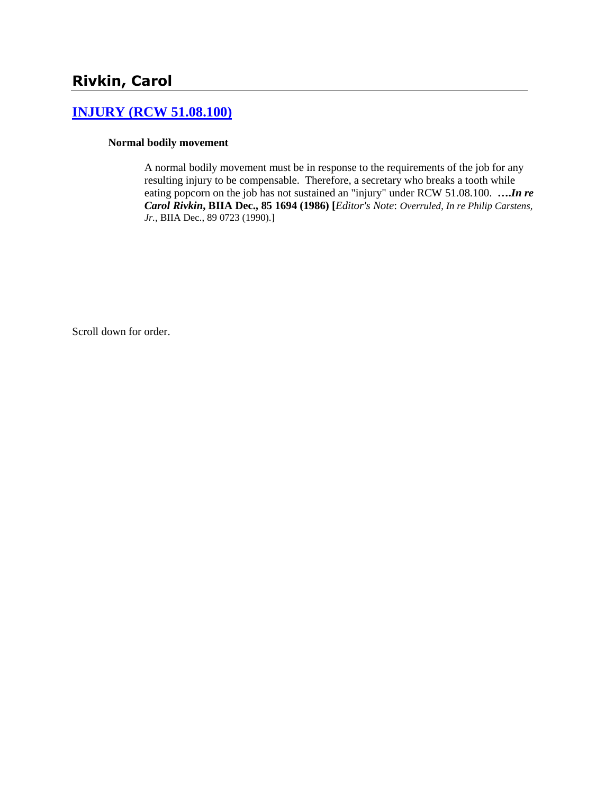# **[INJURY \(RCW 51.08.100\)](http://www.biia.wa.gov/SDSubjectIndex.html#INJURY)**

### **Normal bodily movement**

A normal bodily movement must be in response to the requirements of the job for any resulting injury to be compensable. Therefore, a secretary who breaks a tooth while eating popcorn on the job has not sustained an "injury" under RCW 51.08.100. **….***In re Carol Rivkin***, BIIA Dec., 85 1694 (1986) [***Editor's Note*: *Overruled*, *In re Philip Carstens, Jr.,* BIIA Dec., 89 0723 (1990).]

Scroll down for order.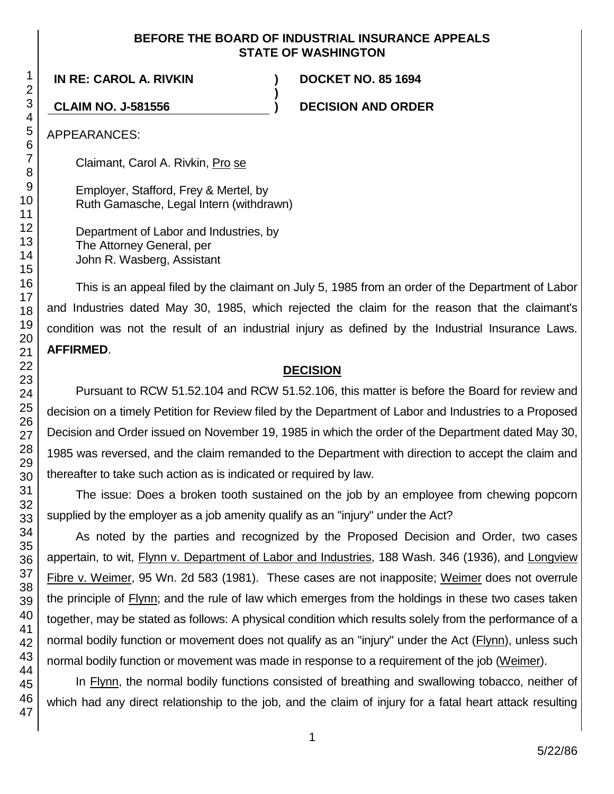### **BEFORE THE BOARD OF INDUSTRIAL INSURANCE APPEALS STATE OF WASHINGTON**

**)**

**IN RE: CAROL A. RIVKIN ) DOCKET NO. 85 1694**

**CLAIM NO. J-581556 ) DECISION AND ORDER**

APPEARANCES:

Claimant, Carol A. Rivkin, Pro se

Employer, Stafford, Frey & Mertel, by Ruth Gamasche, Legal Intern (withdrawn)

Department of Labor and Industries, by The Attorney General, per John R. Wasberg, Assistant

This is an appeal filed by the claimant on July 5, 1985 from an order of the Department of Labor and Industries dated May 30, 1985, which rejected the claim for the reason that the claimant's condition was not the result of an industrial injury as defined by the Industrial Insurance Laws. **AFFIRMED**.

### **DECISION**

Pursuant to RCW 51.52.104 and RCW 51.52.106, this matter is before the Board for review and decision on a timely Petition for Review filed by the Department of Labor and Industries to a Proposed Decision and Order issued on November 19, 1985 in which the order of the Department dated May 30, 1985 was reversed, and the claim remanded to the Department with direction to accept the claim and thereafter to take such action as is indicated or required by law.

The issue: Does a broken tooth sustained on the job by an employee from chewing popcorn supplied by the employer as a job amenity qualify as an "injury" under the Act?

As noted by the parties and recognized by the Proposed Decision and Order, two cases appertain, to wit, Flynn v. Department of Labor and Industries, 188 Wash. 346 (1936), and Longview Fibre v. Weimer, 95 Wn. 2d 583 (1981). These cases are not inapposite; Weimer does not overrule the principle of Flynn; and the rule of law which emerges from the holdings in these two cases taken together, may be stated as follows: A physical condition which results solely from the performance of a normal bodily function or movement does not qualify as an "injury" under the Act (Flynn), unless such normal bodily function or movement was made in response to a requirement of the job (Weimer).

In Flynn, the normal bodily functions consisted of breathing and swallowing tobacco, neither of which had any direct relationship to the job, and the claim of injury for a fatal heart attack resulting